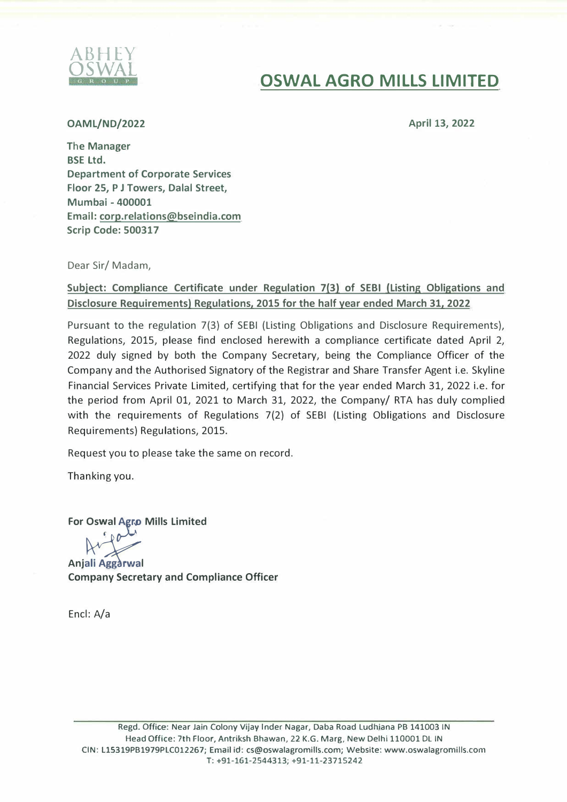

## OSWAL **OSWAL AGRO MILLS LIMITED**

#### **OAML/ND/2022**

**April 13, 2022** 

The Manager BSE Ltd. Department of Corporate Services Floor 25, P J Towers, Dalal Street, Mumbai - 400001 Email: corp.relations@bseindia.com Scrip Code: 500317

Dear Sir/ Madam,

#### **Subject: Compliance Certificate under Regulation 7(3) of SEBI (Listing Obligations and Disclosure Requirements) Regulations, 2015 for the half year ended March 31, 2022**

Pursuant to the regulation 7(3) of SEBI (Listing Obligations and Disclosure Requirements), Regulations, 2015, please find enclosed herewith a compliance certificate dated April 2, 2022 duly signed by both the Company Secretary, being the Compliance Officer of the Company and the Authorised Signatory of the Registrar and Share Transfer Agent i.e. Skyline Financial Services Private Limited, certifying that for the year ended March 31, 2022 i.e. for the period from April 01, 2021 to March 31, 2022, the Company/ RTA has duly complied with the requirements of Regulations 7(2) of SEBI (Listing Obligations and Disclosure Requirements) Regulations, 2015.

Request you to please take the same on record.

Thanking you.

**For OsV: al** *;r:* **Mills Limited**

**Anjali Aggarwal Company Secretary and Compliance Officer** 

Encl: A/a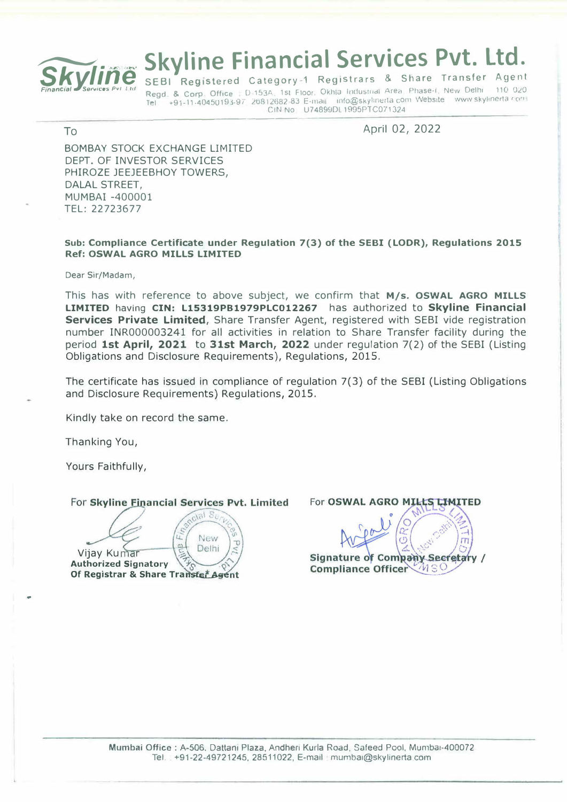

# **Skyline Financial Services Pvt. Ltd.**

SEBI Registered Category-1 Registrars & Share Transfer Agent Regd. & Corp. Office : D-153A, 1st Floor. Okhla Industrial Area. Phase-i, New Delhi 110 020 +91-11-40450193-97 26812682-83 E-mail info@skylinerta.com Website www.skylinerta.com Tel CIN No U74899DL 1995PTC071324

#### To

April 02, 2022

**BOMBAY STOCK EXCHANGE LIMITED** DEPT. OF INVESTOR SERVICES PHIROZE JEEJEEBHOY TOWERS, **DALAL STREET.** MUMBAI -400001 TEL: 22723677

#### Sub: Compliance Certificate under Requlation 7(3) of the SEBI (LODR), Requlations 2015 **Ref: OSWAL AGRO MILLS LIMITED**

Dear Sir/Madam,

This has with reference to above subject, we confirm that M/s. OSWAL AGRO MILLS LIMITED having CIN: L15319PB1979PLC012267 has authorized to Skyline Financial Services Private Limited, Share Transfer Agent, registered with SEBI vide registration number INR000003241 for all activities in relation to Share Transfer facility during the period 1st April, 2021 to 31st March, 2022 under regulation 7(2) of the SEBI (Listing Obligations and Disclosure Requirements), Regulations, 2015.

The certificate has issued in compliance of regulation 7(3) of the SEBI (Listing Obligations and Disclosure Requirements) Regulations, 2015.

Kindly take on record the same.

Thanking You,

Yours Faithfully,

For Skyline Financial Services Pvt. Limited

 $\tilde{c}$  is  $\tilde{c}$ New τ  $\omega$ Delhi Vijay Kumar **Authorized Signatory** Of Registrar & Share Transfer Agent

For OSWAL AGRO MILLS LIMITED **Signature of Company Secretary /** Compliance Officer MSO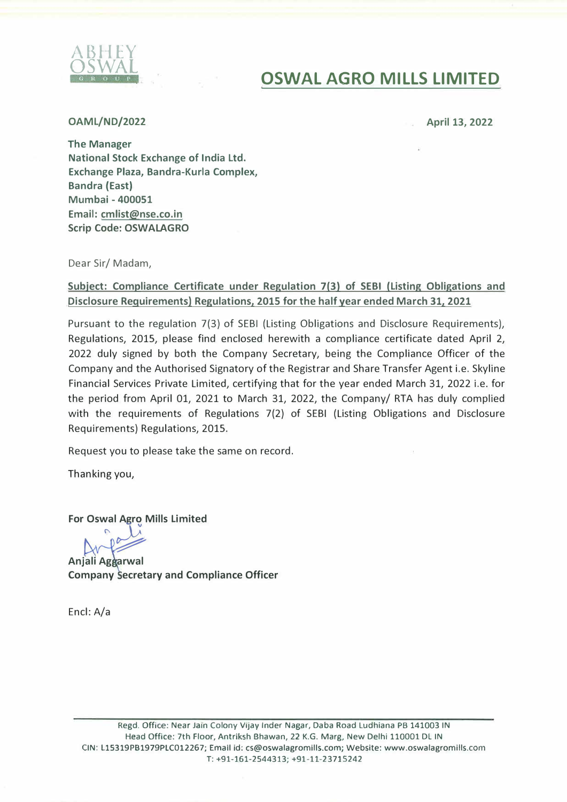

### OSWAL **OSWAL AGRO MILLS LIMITED**

**OAML/ND/2022** 

**April 13, 2022** 

The Manager National Stock Exchange of India Ltd. Exchange Plaza, Bandra-Kurla Complex, Bandra (East) Mumbai - 400051 Email: cmlist@nse.co.in Scrip Code: OSWALAGRO

Dear Sir/ Madam,

#### **Subject: Compliance Certificate under Regulation 7(3) of SEBI (Listing Obligations and Disclosure Requirements) Regulations, 2015 for the half year ended March 31, 2021**

Pursuant to the regulation 7(3} of SEBI (Listing Obligations and Disclosure Requirements), Regulations, 2015, please find enclosed herewith a compliance certificate dated April 2, 2022 duly signed by both the Company Secretary, being the Compliance Officer of the Company and the Authorised Signatory of the Registrar and Share Transfer Agent i.e. Skyline Financial Services Private Limited, certifying that for the year ended March 31, 2022 i.e. for the period from April 01, 2021 to March 31, 2022, the Company/ RTA has duly complied with the requirements of Regulations 7(2} of SEBI (Listing Obligations and Disclosure Requirements} Regulations, 2015.

Request you to please take the same on record.

Thanking you,

**For Oswal Agro Mills Limited** 

 $\sqrt{2}$ 

Anjali Aggarwal **Company Secretary and Compliance Officer** 

Encl: A/a